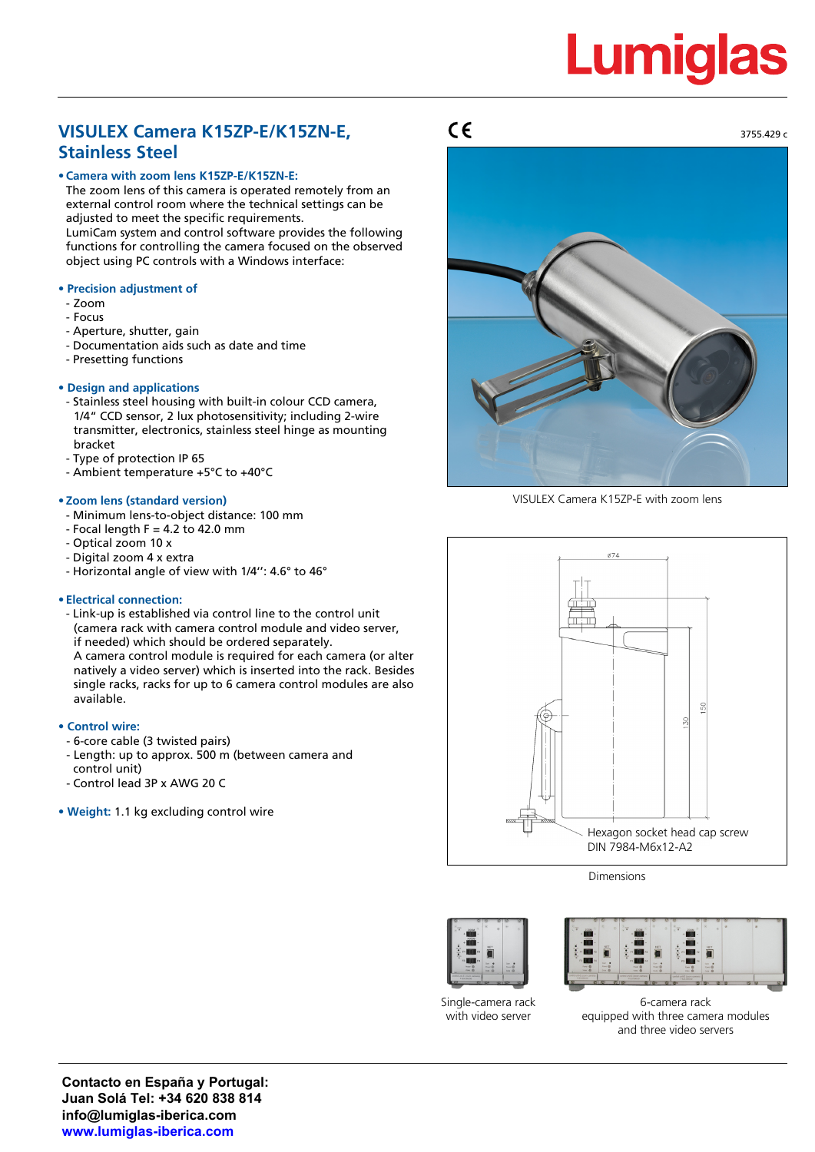# Lumia

# **VISULEX Camera K15ZP-E/K15ZN-E, Stainless Steel**

# **• Camera with zoom lens K15ZP-E/K15ZN-E:**

The zoom lens of this camera is operated remotely from an external control room where the technical settings can be adjusted to meet the specific requirements.

LumiCam system and control software provides the following functions for controlling the camera focused on the observed object using PC controls with a Windows interface:

#### **• Precision adjustment of**

- Zoom
- Focus
- Aperture, shutter, gain
- Documentation aids such as date and time
- Presetting functions

### **• Design and applications**

- Stainless steel housing with built-in colour CCD camera, 1/4" CCD sensor, 2 lux photosensitivity; including 2-wire transmitter, electronics, stainless steel hinge as mounting bracket
- Type of protection IP 65
- Ambient temperature +5°C to +40°C

### **• Zoom lens (standard version)**

- Minimum lens-to-object distance: 100 mm
- $-$  Focal length F = 4.2 to 42.0 mm
- Optical zoom 10 x
- Digital zoom 4 x extra
- Horizontal angle of view with 1/4'': 4.6° to 46°

### • **Electrical connection:**

- Link-up is established via control line to the control unit (camera rack with camera control module and video server, if needed) which should be ordered separately.

A camera control module is required for each camera (or alter natively a video server) which is inserted into the rack. Besides single racks, racks for up to 6 camera control modules are also available.

# **• Control wire:**

- 6-core cable (3 twisted pairs)
- Length: up to approx. 500 m (between camera and control unit)
- Control lead 3P x AWG 20 C
- **Weight:** 1.1 kg excluding control wire

# $C\epsilon$



VISULEX Camera K15ZP-E with zoom lens



Dimensions





Single-camera rack with video server

6-camera rack equipped with three camera modules and three video servers